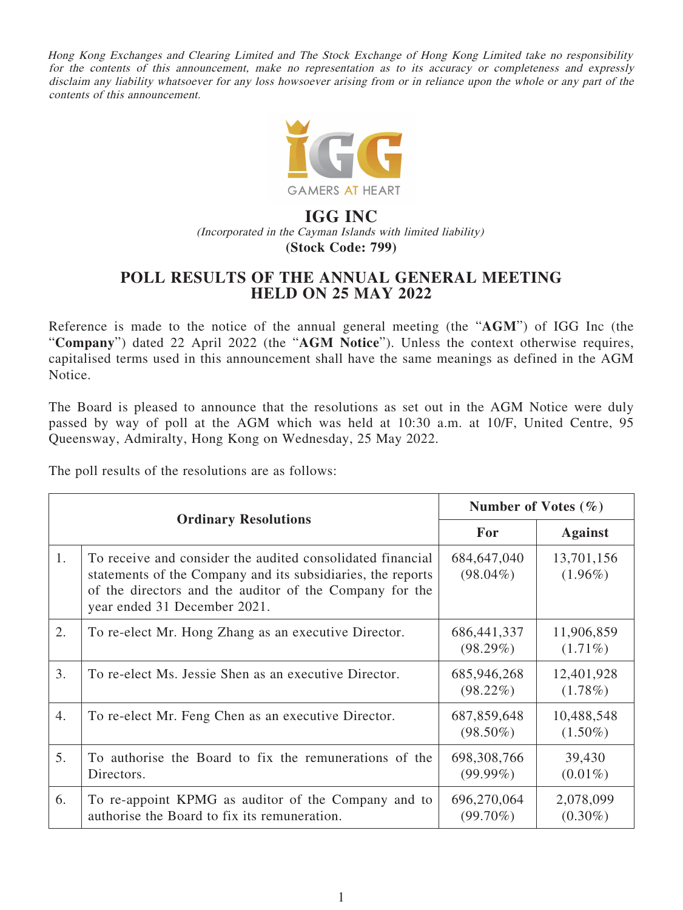Hong Kong Exchanges and Clearing Limited and The Stock Exchange of Hong Kong Limited take no responsibility for the contents of this announcement, make no representation as to its accuracy or completeness and expressly disclaim any liability whatsoever for any loss howsoever arising from or in reliance upon the whole or any part of the contents of this announcement.



## **IGG INC** (Incorporated in the Cayman Islands with limited liability) **(Stock Code: 799)**

## **POLL RESULTS OF THE ANNUAL GENERAL MEETING HELD ON 25 MAY 2022**

Reference is made to the notice of the annual general meeting (the "**AGM**") of IGG Inc (the "**Company**") dated 22 April 2022 (the "**AGM Notice**"). Unless the context otherwise requires, capitalised terms used in this announcement shall have the same meanings as defined in the AGM Notice.

The Board is pleased to announce that the resolutions as set out in the AGM Notice were duly passed by way of poll at the AGM which was held at 10:30 a.m. at 10/F, United Centre, 95 Queensway, Admiralty, Hong Kong on Wednesday, 25 May 2022.

The poll results of the resolutions are as follows:

| <b>Ordinary Resolutions</b> |                                                                                                                                                                                                                      | Number of Votes $(\% )$      |                          |
|-----------------------------|----------------------------------------------------------------------------------------------------------------------------------------------------------------------------------------------------------------------|------------------------------|--------------------------|
|                             |                                                                                                                                                                                                                      | For                          | <b>Against</b>           |
| 1.                          | To receive and consider the audited consolidated financial<br>statements of the Company and its subsidiaries, the reports<br>of the directors and the auditor of the Company for the<br>year ended 31 December 2021. | 684, 647, 040<br>$(98.04\%)$ | 13,701,156<br>$(1.96\%)$ |
| 2.                          | To re-elect Mr. Hong Zhang as an executive Director.                                                                                                                                                                 | 686, 441, 337<br>$(98.29\%)$ | 11,906,859<br>$(1.71\%)$ |
| 3.                          | To re-elect Ms. Jessie Shen as an executive Director.                                                                                                                                                                | 685,946,268<br>$(98.22\%)$   | 12,401,928<br>$(1.78\%)$ |
| $\overline{4}$ .            | To re-elect Mr. Feng Chen as an executive Director.                                                                                                                                                                  | 687, 859, 648<br>$(98.50\%)$ | 10,488,548<br>$(1.50\%)$ |
| 5.                          | To authorise the Board to fix the remunerations of the<br>Directors.                                                                                                                                                 | 698, 308, 766<br>$(99.99\%)$ | 39,430<br>$(0.01\%)$     |
| 6.                          | To re-appoint KPMG as auditor of the Company and to<br>authorise the Board to fix its remuneration.                                                                                                                  | 696,270,064<br>$(99.70\%)$   | 2,078,099<br>$(0.30\%)$  |